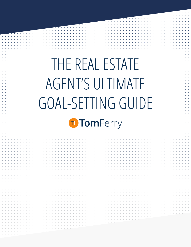# THE REAL ESTATE AGENT'S ULTIMATE GOAL-SETTING GUIDET TomFerry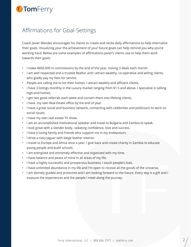## T TomFerry

### Affirmations for Goal-Settings

Coach Javier Mendez encourages his clients to create and recite daily affirmations to help internalize their goals. Visualizing your the achievement of your future goals can help remind you why you're working hard. Below are some examples of affirmations Javier's clients use to help them work towards their goals.

- I make \$850,000 in commissions by the end of the year, closing 3 deals each month.
- I am well respected and a trusted Realtor and I attract wealthy, co-operative and willing clients, who gladly pay my fees for service.
- People are calling me to list their homes. I attract wealthy and affluent clients.
- I have 3 listings monthly in the Luxury market ranging from \$1.5 and above. I specialize in selling high-end homes.
- I get two good referrals each week and convert them into lifelong clients.
- I have my own Real Estate office by the end of year.
- I have a great social and business network, connecting with celebrities and politicians to work on social issues.
- I have my own real estate TV show.
- I am an accomplished motivational speaker and travel to Bulgaria and Zambia to speak.
- I look great with a slender body, radiating confidence, love and success.
- I have a loving family and friends who support me in my endeavours.
- I drive a navy Jaguar with beige leather interior.
- I travel to Europe and Africa once a year. I give back and create charity in Zambia to educate young people and build schools.
- I am energized and extremely effective and organized with my time.
- I have balance and peace of mind in all areas of my life.
- I have a highly successful and prosperous business; I touch people's lives.
- I have unlimited abundance in my life and I'm open to receive all the goods of the Universe.
- I am divinely guided and protected and I am looking forward to the future. Every day is a gift and I treasure the experiences and the people I meet along the journey.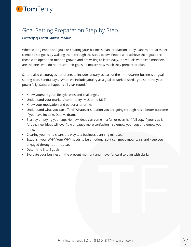# T TomFerry

### Goal-Setting Preparation Step-by-Step

#### *Courtesy of Coach Sandra Hendrix*

When setting important goals or creating your business plan, prepartion is key. Sandra prepares her clients to set goals by walking them through the steps below. People who achieve their goals are those who open their mind to growth and are willing to learn daily. Individuals with fixed mindsets are the ones who do not reach their goals no matter how much they prepare or plan.

Sandra also encourages her clients to include January as part of their 4th quarter business or goalsetting plan. Sandra says, "When we include January as a goal to work towards, you start the year powerfully. Success happens all year round."

- Know yourself: your lifestyle, wins and challenges.
- Understand your market / community (MLS or no MLS)
- Know your motivation and personal priorities.
- Understand what you can afford. Whatever situation you are going through has a better outcome if you have income. Data vs drama.
- Start by emptying your cup. No new ideas can come in a full or even half-full cup. If your cup is full, the new ideas will overflow or cause more confusion – so empty your cup and empty your mind.
- Clearing your mind clears the way to a business planning mindset.
- Establish your WHY. Your WHY needs to be emotional so it can move mountains and keep you engaged throughout the year.
- Determine 3 to 4 goals.
- Evaluate your business in the present moment and move forward to plan with clarity.